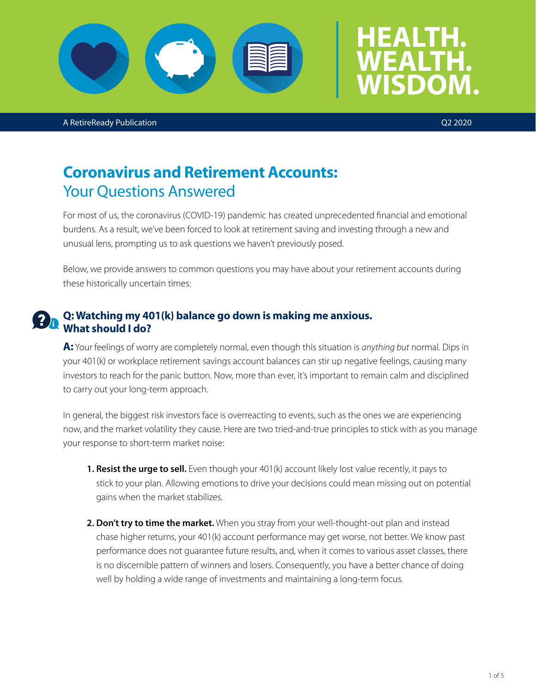A RetireReady Publication Q2 2020

# **Coronavirus and Retirement Accounts:** Your Questions Answered

For most of us, the coronavirus (COVID-19) pandemic has created unprecedented financial and emotional burdens. As a result, we've been forced to look at retirement saving and investing through a new and unusual lens, prompting us to ask questions we haven't previously posed.

Below, we provide answers to common questions you may have about your retirement accounts during these historically uncertain times:

# **Q: Watching my 401(k) balance go down is making me anxious. What should I do?**

**A:** Your feelings of worry are completely normal, even though this situation is *anything but* normal. Dips in your 401(k) or workplace retirement savings account balances can stir up negative feelings, causing many investors to reach for the panic button. Now, more than ever, it's important to remain calm and disciplined to carry out your long-term approach.

In general, the biggest risk investors face is overreacting to events, such as the ones we are experiencing now, and the market volatility they cause. Here are two tried-and-true principles to stick with as you manage your response to short-term market noise:

- **1. Resist the urge to sell.** Even though your 401(k) account likely lost value recently, it pays to stick to your plan. Allowing emotions to drive your decisions could mean missing out on potential gains when the market stabilizes.
- **2. Don't try to time the market.** When you stray from your well-thought-out plan and instead chase higher returns, your 401(k) account performance may get worse, not better. We know past performance does not guarantee future results, and, when it comes to various asset classes, there is no discernible pattern of winners and losers. Consequently, you have a better chance of doing well by holding a wide range of investments and maintaining a long-term focus.

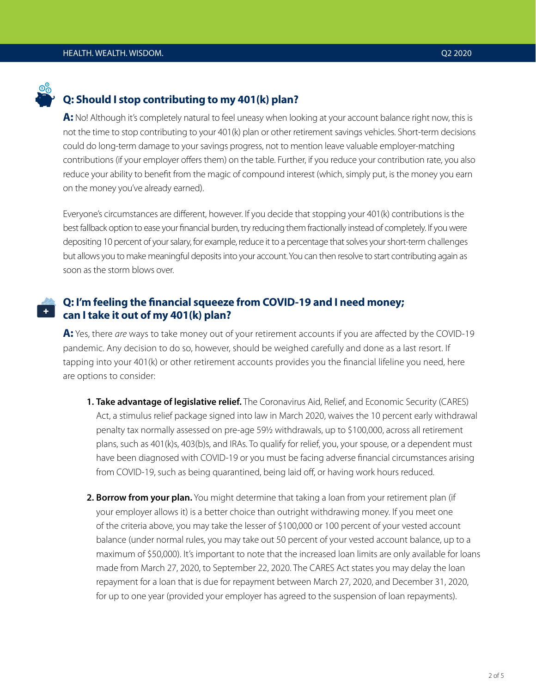# **Q: Should I stop contributing to my 401(k) plan?**

**A:** No! Although it's completely natural to feel uneasy when looking at your account balance right now, this is not the time to stop contributing to your 401(k) plan or other retirement savings vehicles. Short-term decisions could do long-term damage to your savings progress, not to mention leave valuable employer-matching contributions (if your employer offers them) on the table. Further, if you reduce your contribution rate, you also reduce your ability to benefit from the magic of compound interest (which, simply put, is the money you earn on the money you've already earned).

Everyone's circumstances are different, however. If you decide that stopping your 401(k) contributions is the best fallback option to ease your financial burden, try reducing them fractionally instead of completely. If you were depositing 10 percent of your salary, for example, reduce it to a percentage that solves your short-term challenges but allows you to make meaningful deposits into your account. You can then resolve to start contributing again as soon as the storm blows over.

# **Q: I'm feeling the financial squeeze from COVID-19 and I need money; can I take it out of my 401(k) plan?**

**A:** Yes, there *are* ways to take money out of your retirement accounts if you are affected by the COVID-19 pandemic. Any decision to do so, however, should be weighed carefully and done as a last resort. If tapping into your 401(k) or other retirement accounts provides you the financial lifeline you need, here are options to consider:

- **1. Take advantage of legislative relief.** The Coronavirus Aid, Relief, and Economic Security (CARES) Act, a stimulus relief package signed into law in March 2020, waives the 10 percent early withdrawal penalty tax normally assessed on pre-age 59½ withdrawals, up to \$100,000, across all retirement plans, such as 401(k)s, 403(b)s, and IRAs. To qualify for relief, you, your spouse, or a dependent must have been diagnosed with COVID-19 or you must be facing adverse financial circumstances arising from COVID-19, such as being quarantined, being laid off, or having work hours reduced.
- **2. Borrow from your plan.** You might determine that taking a loan from your retirement plan (if your employer allows it) is a better choice than outright withdrawing money. If you meet one of the criteria above, you may take the lesser of \$100,000 or 100 percent of your vested account balance (under normal rules, you may take out 50 percent of your vested account balance, up to a maximum of \$50,000). It's important to note that the increased loan limits are only available for loans made from March 27, 2020, to September 22, 2020. The CARES Act states you may delay the loan repayment for a loan that is due for repayment between March 27, 2020, and December 31, 2020, for up to one year (provided your employer has agreed to the suspension of loan repayments).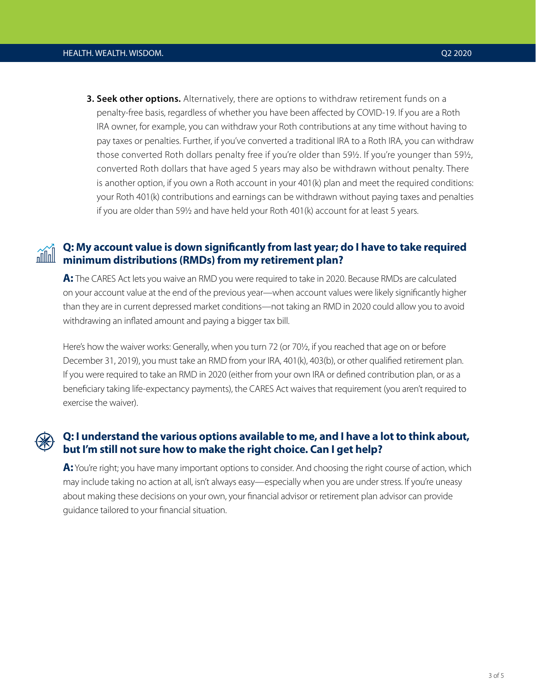**3. Seek other options.** Alternatively, there are options to withdraw retirement funds on a penalty-free basis, regardless of whether you have been affected by COVID-19. If you are a Roth IRA owner, for example, you can withdraw your Roth contributions at any time without having to pay taxes or penalties. Further, if you've converted a traditional IRA to a Roth IRA, you can withdraw those converted Roth dollars penalty free if you're older than 59½. If you're younger than 59½, converted Roth dollars that have aged 5 years may also be withdrawn without penalty. There is another option, if you own a Roth account in your 401(k) plan and meet the required conditions: your Roth 401(k) contributions and earnings can be withdrawn without paying taxes and penalties if you are older than 59½ and have held your Roth 401(k) account for at least 5 years.

### **Q: My account value is down significantly from last year; do I have to take required minimum distributions (RMDs) from my retirement plan?**

**A:** The CARES Act lets you waive an RMD you were required to take in 2020. Because RMDs are calculated on your account value at the end of the previous year—when account values were likely significantly higher than they are in current depressed market conditions—not taking an RMD in 2020 could allow you to avoid withdrawing an inflated amount and paying a bigger tax bill.

Here's how the waiver works: Generally, when you turn 72 (or 70½, if you reached that age on or before December 31, 2019), you must take an RMD from your IRA, 401(k), 403(b), or other qualified retirement plan. If you were required to take an RMD in 2020 (either from your own IRA or defined contribution plan, or as a beneficiary taking life-expectancy payments), the CARES Act waives that requirement (you aren't required to exercise the waiver).

# **Q: I understand the various options available to me, and I have a lot to think about, but I'm still not sure how to make the right choice. Can I get help?**

**A:** You're right; you have many important options to consider. And choosing the right course of action, which may include taking no action at all, isn't always easy—especially when you are under stress. If you're uneasy about making these decisions on your own, your financial advisor or retirement plan advisor can provide guidance tailored to your financial situation.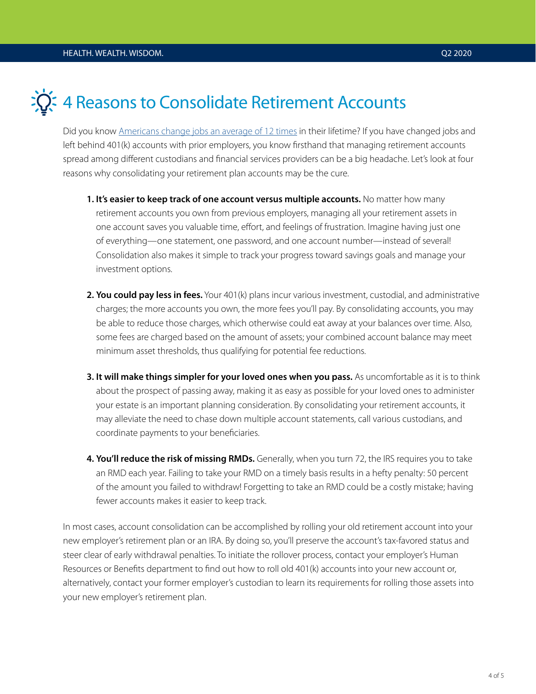# 4 Reasons to Consolidate Retirement Accounts

Did you know [Americans change jobs an average of 12 times](https://www.thebalancecareers.com/how-often-do-people-change-jobs-2060467) in their lifetime? If you have changed jobs and left behind 401(k) accounts with prior employers, you know firsthand that managing retirement accounts spread among different custodians and financial services providers can be a big headache. Let's look at four reasons why consolidating your retirement plan accounts may be the cure.

- **1. It's easier to keep track of one account versus multiple accounts.** No matter how many retirement accounts you own from previous employers, managing all your retirement assets in one account saves you valuable time, effort, and feelings of frustration. Imagine having just one of everything—one statement, one password, and one account number—instead of several! Consolidation also makes it simple to track your progress toward savings goals and manage your investment options.
- **2. You could pay less in fees.** Your 401(k) plans incur various investment, custodial, and administrative charges; the more accounts you own, the more fees you'll pay. By consolidating accounts, you may be able to reduce those charges, which otherwise could eat away at your balances over time. Also, some fees are charged based on the amount of assets; your combined account balance may meet minimum asset thresholds, thus qualifying for potential fee reductions.
- **3. It will make things simpler for your loved ones when you pass.** As uncomfortable as it is to think about the prospect of passing away, making it as easy as possible for your loved ones to administer your estate is an important planning consideration. By consolidating your retirement accounts, it may alleviate the need to chase down multiple account statements, call various custodians, and coordinate payments to your beneficiaries.
- **4. You'll reduce the risk of missing RMDs.** Generally, when you turn 72, the IRS requires you to take an RMD each year. Failing to take your RMD on a timely basis results in a hefty penalty: 50 percent of the amount you failed to withdraw! Forgetting to take an RMD could be a costly mistake; having fewer accounts makes it easier to keep track.

In most cases, account consolidation can be accomplished by rolling your old retirement account into your new employer's retirement plan or an IRA. By doing so, you'll preserve the account's tax-favored status and steer clear of early withdrawal penalties. To initiate the rollover process, contact your employer's Human Resources or Benefits department to find out how to roll old 401(k) accounts into your new account or, alternatively, contact your former employer's custodian to learn its requirements for rolling those assets into your new employer's retirement plan.